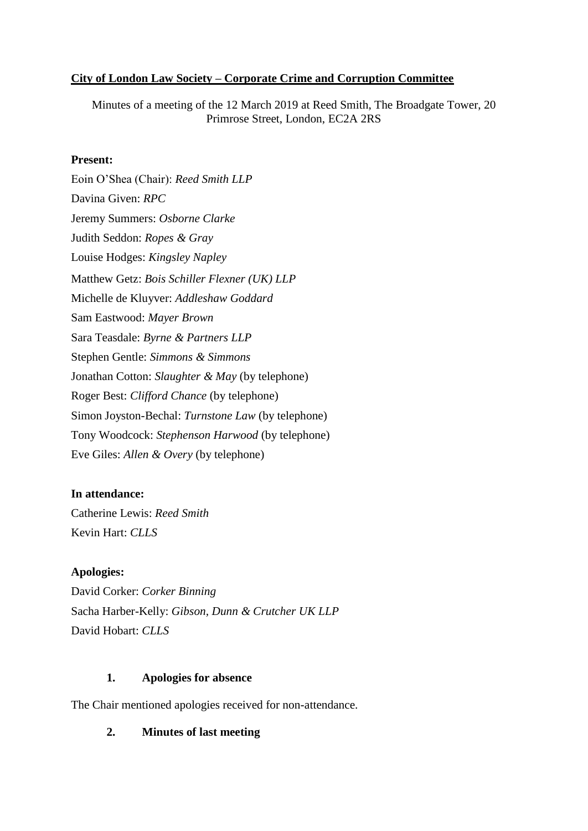### **City of London Law Society – Corporate Crime and Corruption Committee**

Minutes of a meeting of the 12 March 2019 at Reed Smith, The Broadgate Tower, 20 Primrose Street, London, EC2A 2RS

### **Present:**

Eoin O'Shea (Chair): *Reed Smith LLP* Davina Given: *RPC* Jeremy Summers: *Osborne Clarke* Judith Seddon: *Ropes & Gray* Louise Hodges: *Kingsley Napley* Matthew Getz: *Bois Schiller Flexner (UK) LLP* Michelle de Kluyver: *Addleshaw Goddard* Sam Eastwood: *Mayer Brown* Sara Teasdale: *Byrne & Partners LLP* Stephen Gentle: *Simmons & Simmons* Jonathan Cotton: *Slaughter & May* (by telephone) Roger Best: *Clifford Chance* (by telephone) Simon Joyston-Bechal: *Turnstone Law* (by telephone) Tony Woodcock: *Stephenson Harwood* (by telephone) Eve Giles: *Allen & Overy* (by telephone)

# **In attendance:**

Catherine Lewis: *Reed Smith* Kevin Hart: *CLLS*

### **Apologies:**

David Corker: *Corker Binning* Sacha Harber-Kelly: *Gibson, Dunn & Crutcher UK LLP* David Hobart: *CLLS*

### **1. Apologies for absence**

The Chair mentioned apologies received for non-attendance.

# **2. Minutes of last meeting**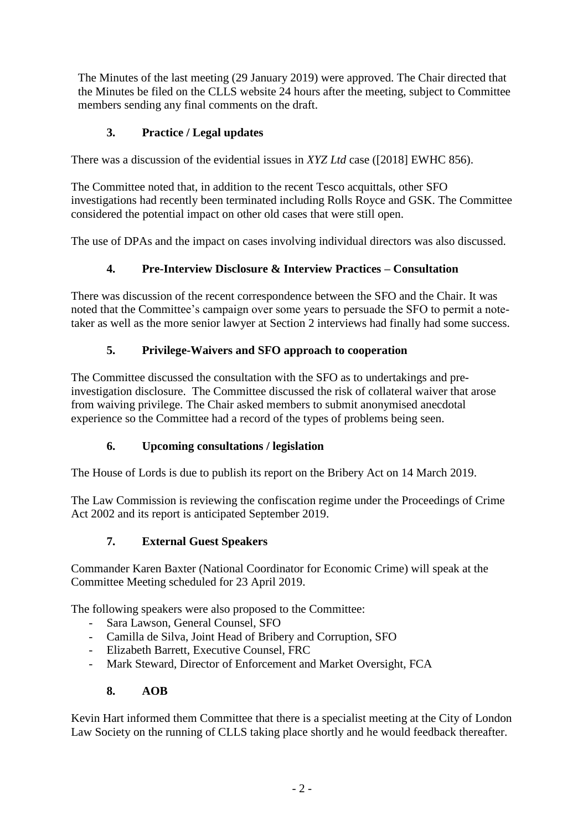The Minutes of the last meeting (29 January 2019) were approved. The Chair directed that the Minutes be filed on the CLLS website 24 hours after the meeting, subject to Committee members sending any final comments on the draft.

# **3. Practice / Legal updates**

There was a discussion of the evidential issues in *XYZ Ltd* case ([2018] EWHC 856).

The Committee noted that, in addition to the recent Tesco acquittals, other SFO investigations had recently been terminated including Rolls Royce and GSK. The Committee considered the potential impact on other old cases that were still open.

The use of DPAs and the impact on cases involving individual directors was also discussed.

## **4. Pre-Interview Disclosure & Interview Practices – Consultation**

There was discussion of the recent correspondence between the SFO and the Chair. It was noted that the Committee's campaign over some years to persuade the SFO to permit a notetaker as well as the more senior lawyer at Section 2 interviews had finally had some success.

## **5. Privilege-Waivers and SFO approach to cooperation**

The Committee discussed the consultation with the SFO as to undertakings and preinvestigation disclosure. The Committee discussed the risk of collateral waiver that arose from waiving privilege. The Chair asked members to submit anonymised anecdotal experience so the Committee had a record of the types of problems being seen.

### **6. Upcoming consultations / legislation**

The House of Lords is due to publish its report on the Bribery Act on 14 March 2019.

The Law Commission is reviewing the confiscation regime under the Proceedings of Crime Act 2002 and its report is anticipated September 2019.

### **7. External Guest Speakers**

Commander Karen Baxter (National Coordinator for Economic Crime) will speak at the Committee Meeting scheduled for 23 April 2019.

The following speakers were also proposed to the Committee:

- Sara Lawson, General Counsel, SFO
- Camilla de Silva, Joint Head of Bribery and Corruption, SFO
- Elizabeth Barrett, Executive Counsel, FRC
- Mark Steward, Director of Enforcement and Market Oversight, FCA

### **8. AOB**

Kevin Hart informed them Committee that there is a specialist meeting at the City of London Law Society on the running of CLLS taking place shortly and he would feedback thereafter.